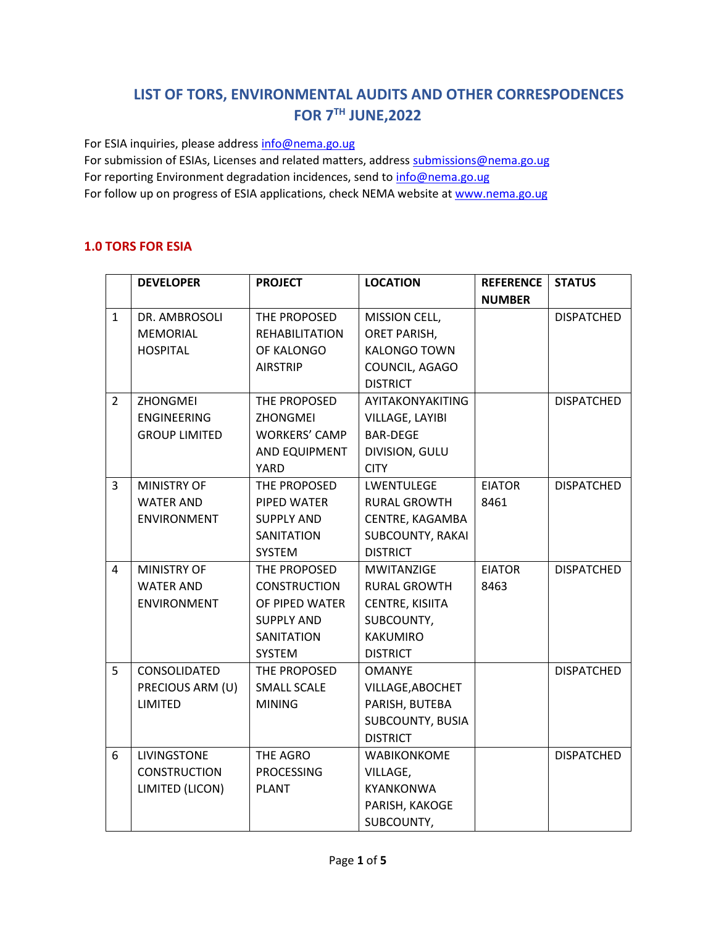## **LIST OF TORS, ENVIRONMENTAL AUDITS AND OTHER CORRESPODENCES FOR 7TH JUNE,2022**

For ESIA inquiries, please addres[s info@nema.go.ug](mailto:info@nema.go.ug) For submission of ESIAs, Licenses and related matters, address [submissions@nema.go.ug](mailto:submissions@nema.go.ug) For reporting Environment degradation incidences, send t[o info@nema.go.ug](mailto:info@nema.go.ug) For follow up on progress of ESIA applications, check NEMA website at [www.nema.go.ug](http://www.nema.go.ug/)

## **1.0 TORS FOR ESIA**

|                | <b>DEVELOPER</b>     | <b>PROJECT</b>        | <b>LOCATION</b>         | <b>REFERENCE</b> | <b>STATUS</b>     |
|----------------|----------------------|-----------------------|-------------------------|------------------|-------------------|
|                |                      |                       |                         | <b>NUMBER</b>    |                   |
| $\mathbf{1}$   | DR. AMBROSOLI        | THE PROPOSED          | MISSION CELL,           |                  | <b>DISPATCHED</b> |
|                | <b>MEMORIAL</b>      | <b>REHABILITATION</b> | ORET PARISH,            |                  |                   |
|                | <b>HOSPITAL</b>      | OF KALONGO            | <b>KALONGO TOWN</b>     |                  |                   |
|                |                      | <b>AIRSTRIP</b>       | COUNCIL, AGAGO          |                  |                   |
|                |                      |                       | <b>DISTRICT</b>         |                  |                   |
| $\overline{2}$ | ZHONGMEI             | THE PROPOSED          | AYITAKONYAKITING        |                  | <b>DISPATCHED</b> |
|                | <b>ENGINEERING</b>   | ZHONGMEI              | VILLAGE, LAYIBI         |                  |                   |
|                | <b>GROUP LIMITED</b> | <b>WORKERS' CAMP</b>  | <b>BAR-DEGE</b>         |                  |                   |
|                |                      | AND EQUIPMENT         | DIVISION, GULU          |                  |                   |
|                |                      | <b>YARD</b>           | <b>CITY</b>             |                  |                   |
| $\overline{3}$ | <b>MINISTRY OF</b>   | THE PROPOSED          | <b>LWENTULEGE</b>       | <b>EIATOR</b>    | <b>DISPATCHED</b> |
|                | <b>WATER AND</b>     | PIPED WATER           | <b>RURAL GROWTH</b>     | 8461             |                   |
|                | ENVIRONMENT          | <b>SUPPLY AND</b>     | CENTRE, KAGAMBA         |                  |                   |
|                |                      | <b>SANITATION</b>     | <b>SUBCOUNTY, RAKAI</b> |                  |                   |
|                |                      | SYSTEM                | <b>DISTRICT</b>         |                  |                   |
| 4              | <b>MINISTRY OF</b>   | THE PROPOSED          | <b>MWITANZIGE</b>       | <b>EIATOR</b>    | <b>DISPATCHED</b> |
|                | <b>WATER AND</b>     | <b>CONSTRUCTION</b>   | <b>RURAL GROWTH</b>     | 8463             |                   |
|                | <b>ENVIRONMENT</b>   | OF PIPED WATER        | CENTRE, KISIITA         |                  |                   |
|                |                      | <b>SUPPLY AND</b>     | SUBCOUNTY,              |                  |                   |
|                |                      | SANITATION            | <b>KAKUMIRO</b>         |                  |                   |
|                |                      | <b>SYSTEM</b>         | <b>DISTRICT</b>         |                  |                   |
| 5              | CONSOLIDATED         | THE PROPOSED          | <b>OMANYE</b>           |                  | <b>DISPATCHED</b> |
|                | PRECIOUS ARM (U)     | SMALL SCALE           | VILLAGE, ABOCHET        |                  |                   |
|                | LIMITED              | <b>MINING</b>         | PARISH, BUTEBA          |                  |                   |
|                |                      |                       | SUBCOUNTY, BUSIA        |                  |                   |
|                |                      |                       | <b>DISTRICT</b>         |                  |                   |
| 6              | LIVINGSTONE          | THE AGRO              | <b>WABIKONKOME</b>      |                  | <b>DISPATCHED</b> |
|                | <b>CONSTRUCTION</b>  | <b>PROCESSING</b>     | VILLAGE,                |                  |                   |
|                | LIMITED (LICON)      | <b>PLANT</b>          | <b>KYANKONWA</b>        |                  |                   |
|                |                      |                       | PARISH, KAKOGE          |                  |                   |
|                |                      |                       | SUBCOUNTY,              |                  |                   |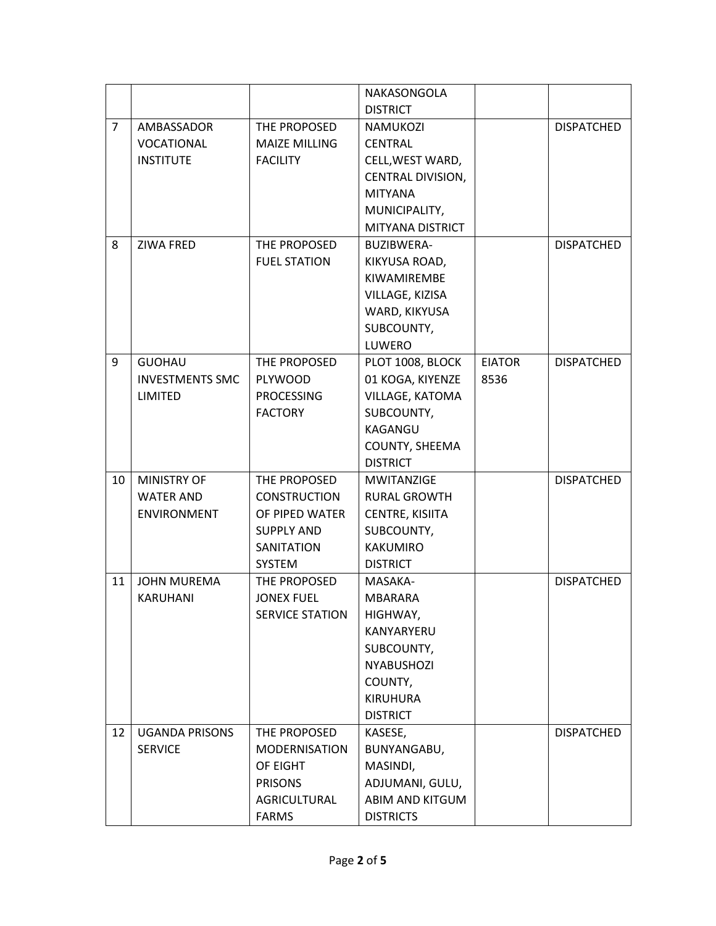|                |                        |                        | NAKASONGOLA         |               |                   |
|----------------|------------------------|------------------------|---------------------|---------------|-------------------|
|                |                        |                        | <b>DISTRICT</b>     |               |                   |
| $\overline{7}$ | AMBASSADOR             | THE PROPOSED           | <b>NAMUKOZI</b>     |               | <b>DISPATCHED</b> |
|                | VOCATIONAL             | <b>MAIZE MILLING</b>   | <b>CENTRAL</b>      |               |                   |
|                | <b>INSTITUTE</b>       | <b>FACILITY</b>        | CELL, WEST WARD,    |               |                   |
|                |                        |                        | CENTRAL DIVISION,   |               |                   |
|                |                        |                        | <b>MITYANA</b>      |               |                   |
|                |                        |                        | MUNICIPALITY,       |               |                   |
|                |                        |                        | MITYANA DISTRICT    |               |                   |
| 8              | ZIWA FRED              | THE PROPOSED           | <b>BUZIBWERA-</b>   |               | <b>DISPATCHED</b> |
|                |                        | <b>FUEL STATION</b>    | KIKYUSA ROAD,       |               |                   |
|                |                        |                        | KIWAMIREMBE         |               |                   |
|                |                        |                        | VILLAGE, KIZISA     |               |                   |
|                |                        |                        | WARD, KIKYUSA       |               |                   |
|                |                        |                        | SUBCOUNTY,          |               |                   |
|                |                        |                        | LUWERO              |               |                   |
| 9              | <b>GUOHAU</b>          | THE PROPOSED           | PLOT 1008, BLOCK    | <b>EIATOR</b> | <b>DISPATCHED</b> |
|                | <b>INVESTMENTS SMC</b> | <b>PLYWOOD</b>         | 01 KOGA, KIYENZE    | 8536          |                   |
|                | LIMITED                | <b>PROCESSING</b>      | VILLAGE, KATOMA     |               |                   |
|                |                        | <b>FACTORY</b>         | SUBCOUNTY,          |               |                   |
|                |                        |                        | KAGANGU             |               |                   |
|                |                        |                        | COUNTY, SHEEMA      |               |                   |
|                |                        |                        | <b>DISTRICT</b>     |               |                   |
| 10             | <b>MINISTRY OF</b>     | THE PROPOSED           | <b>MWITANZIGE</b>   |               | <b>DISPATCHED</b> |
|                | <b>WATER AND</b>       | <b>CONSTRUCTION</b>    | <b>RURAL GROWTH</b> |               |                   |
|                | <b>ENVIRONMENT</b>     | OF PIPED WATER         | CENTRE, KISIITA     |               |                   |
|                |                        | <b>SUPPLY AND</b>      | SUBCOUNTY,          |               |                   |
|                |                        | SANITATION             | <b>KAKUMIRO</b>     |               |                   |
|                |                        | <b>SYSTEM</b>          | <b>DISTRICT</b>     |               |                   |
| 11             | <b>JOHN MUREMA</b>     | THE PROPOSED           | MASAKA-             |               | <b>DISPATCHED</b> |
|                | <b>KARUHANI</b>        | <b>JONEX FUEL</b>      | <b>MBARARA</b>      |               |                   |
|                |                        | <b>SERVICE STATION</b> | HIGHWAY,            |               |                   |
|                |                        |                        | KANYARYERU          |               |                   |
|                |                        |                        | SUBCOUNTY,          |               |                   |
|                |                        |                        | <b>NYABUSHOZI</b>   |               |                   |
|                |                        |                        | COUNTY,             |               |                   |
|                |                        |                        | <b>KIRUHURA</b>     |               |                   |
|                |                        |                        | <b>DISTRICT</b>     |               |                   |
| 12             | <b>UGANDA PRISONS</b>  | THE PROPOSED           | KASESE,             |               | <b>DISPATCHED</b> |
|                | <b>SERVICE</b>         | <b>MODERNISATION</b>   | BUNYANGABU,         |               |                   |
|                |                        | OF EIGHT               | MASINDI,            |               |                   |
|                |                        | <b>PRISONS</b>         | ADJUMANI, GULU,     |               |                   |
|                |                        | AGRICULTURAL           | ABIM AND KITGUM     |               |                   |
|                |                        | <b>FARMS</b>           | <b>DISTRICTS</b>    |               |                   |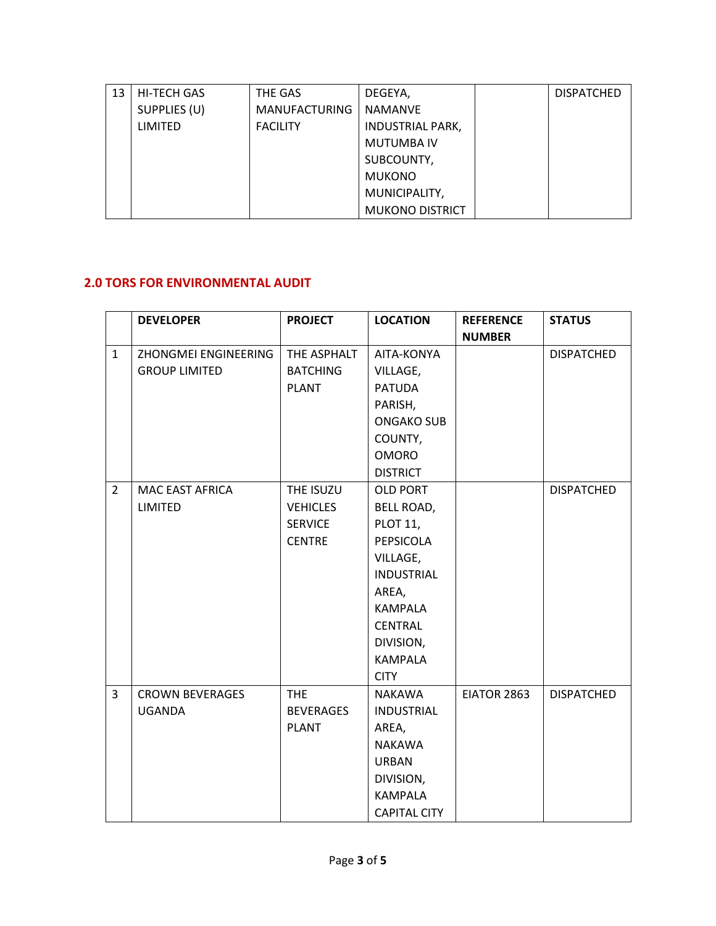| 13 | <b>HI-TECH GAS</b> | THE GAS              | DEGEYA,                 | <b>DISPATCHED</b> |
|----|--------------------|----------------------|-------------------------|-------------------|
|    | SUPPLIES (U)       | <b>MANUFACTURING</b> | <b>NAMANVE</b>          |                   |
|    | LIMITED            | <b>FACILITY</b>      | <b>INDUSTRIAL PARK,</b> |                   |
|    |                    |                      | <b>MUTUMBA IV</b>       |                   |
|    |                    |                      | SUBCOUNTY,              |                   |
|    |                    |                      | <b>MUKONO</b>           |                   |
|    |                    |                      | MUNICIPALITY,           |                   |
|    |                    |                      | <b>MUKONO DISTRICT</b>  |                   |

## **2.0 TORS FOR ENVIRONMENTAL AUDIT**

|                | <b>DEVELOPER</b>       | <b>PROJECT</b>   | <b>LOCATION</b>     | <b>REFERENCE</b> | <b>STATUS</b>     |
|----------------|------------------------|------------------|---------------------|------------------|-------------------|
|                |                        |                  |                     | <b>NUMBER</b>    |                   |
| $\mathbf{1}$   | ZHONGMEI ENGINEERING   | THE ASPHALT      | AITA-KONYA          |                  | <b>DISPATCHED</b> |
|                | <b>GROUP LIMITED</b>   | <b>BATCHING</b>  | VILLAGE,            |                  |                   |
|                |                        | <b>PLANT</b>     | <b>PATUDA</b>       |                  |                   |
|                |                        |                  | PARISH,             |                  |                   |
|                |                        |                  | <b>ONGAKO SUB</b>   |                  |                   |
|                |                        |                  | COUNTY,             |                  |                   |
|                |                        |                  | <b>OMORO</b>        |                  |                   |
|                |                        |                  | <b>DISTRICT</b>     |                  |                   |
| $\overline{2}$ | MAC EAST AFRICA        | THE ISUZU        | <b>OLD PORT</b>     |                  | <b>DISPATCHED</b> |
|                | <b>LIMITED</b>         | <b>VEHICLES</b>  | BELL ROAD,          |                  |                   |
|                |                        | <b>SERVICE</b>   | <b>PLOT 11,</b>     |                  |                   |
|                |                        | <b>CENTRE</b>    | PEPSICOLA           |                  |                   |
|                |                        |                  | VILLAGE,            |                  |                   |
|                |                        |                  | <b>INDUSTRIAL</b>   |                  |                   |
|                |                        |                  | AREA,               |                  |                   |
|                |                        |                  | <b>KAMPALA</b>      |                  |                   |
|                |                        |                  | <b>CENTRAL</b>      |                  |                   |
|                |                        |                  | DIVISION,           |                  |                   |
|                |                        |                  | <b>KAMPALA</b>      |                  |                   |
|                |                        |                  | <b>CITY</b>         |                  |                   |
| 3              | <b>CROWN BEVERAGES</b> | <b>THE</b>       | <b>NAKAWA</b>       | EIATOR 2863      | <b>DISPATCHED</b> |
|                | <b>UGANDA</b>          | <b>BEVERAGES</b> | <b>INDUSTRIAL</b>   |                  |                   |
|                |                        | <b>PLANT</b>     | AREA,               |                  |                   |
|                |                        |                  | <b>NAKAWA</b>       |                  |                   |
|                |                        |                  | <b>URBAN</b>        |                  |                   |
|                |                        |                  | DIVISION,           |                  |                   |
|                |                        |                  | <b>KAMPALA</b>      |                  |                   |
|                |                        |                  | <b>CAPITAL CITY</b> |                  |                   |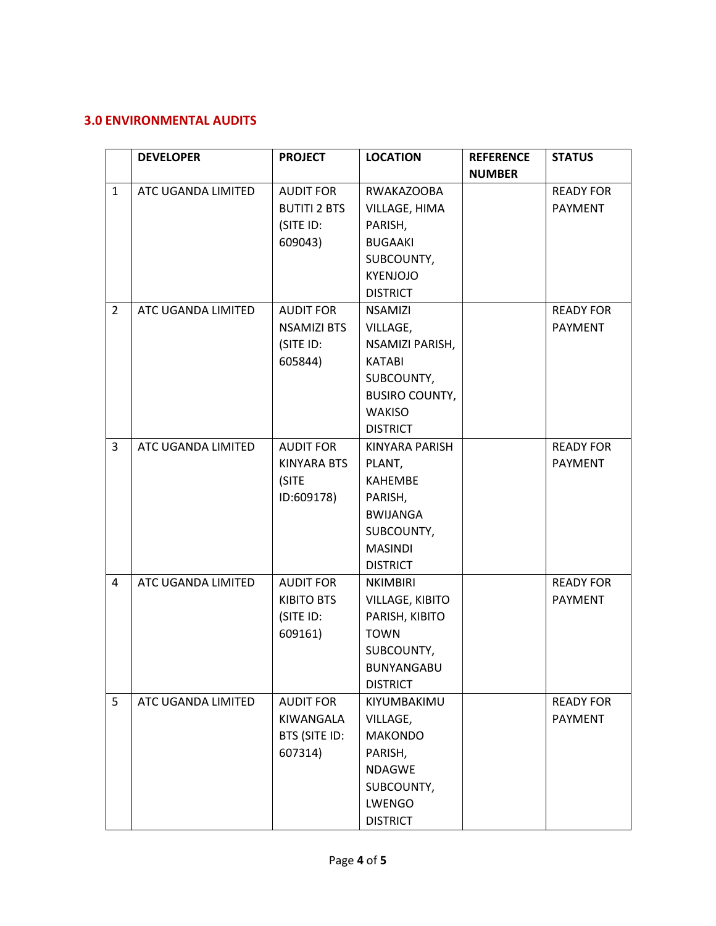## **3.0 ENVIRONMENTAL AUDITS**

|                | <b>DEVELOPER</b>   | <b>PROJECT</b>      | <b>LOCATION</b>       | <b>REFERENCE</b> | <b>STATUS</b>    |
|----------------|--------------------|---------------------|-----------------------|------------------|------------------|
|                |                    |                     |                       | <b>NUMBER</b>    |                  |
| $\mathbf{1}$   | ATC UGANDA LIMITED | <b>AUDIT FOR</b>    | <b>RWAKAZOOBA</b>     |                  | <b>READY FOR</b> |
|                |                    | <b>BUTITI 2 BTS</b> | VILLAGE, HIMA         |                  | PAYMENT          |
|                |                    | (SITE ID:           | PARISH,               |                  |                  |
|                |                    | 609043)             | <b>BUGAAKI</b>        |                  |                  |
|                |                    |                     | SUBCOUNTY,            |                  |                  |
|                |                    |                     | <b>KYENJOJO</b>       |                  |                  |
|                |                    |                     | <b>DISTRICT</b>       |                  |                  |
| $\overline{2}$ | ATC UGANDA LIMITED | <b>AUDIT FOR</b>    | <b>NSAMIZI</b>        |                  | <b>READY FOR</b> |
|                |                    | <b>NSAMIZI BTS</b>  | VILLAGE,              |                  | PAYMENT          |
|                |                    | (SITE ID:           | NSAMIZI PARISH,       |                  |                  |
|                |                    | 605844)             | <b>KATABI</b>         |                  |                  |
|                |                    |                     | SUBCOUNTY,            |                  |                  |
|                |                    |                     | <b>BUSIRO COUNTY,</b> |                  |                  |
|                |                    |                     | <b>WAKISO</b>         |                  |                  |
|                |                    |                     | <b>DISTRICT</b>       |                  |                  |
| 3              | ATC UGANDA LIMITED | <b>AUDIT FOR</b>    | <b>KINYARA PARISH</b> |                  | <b>READY FOR</b> |
|                |                    | <b>KINYARA BTS</b>  | PLANT,                |                  | <b>PAYMENT</b>   |
|                |                    | (SITE               | <b>KAHEMBE</b>        |                  |                  |
|                |                    | ID:609178)          | PARISH,               |                  |                  |
|                |                    |                     | <b>BWIJANGA</b>       |                  |                  |
|                |                    |                     | SUBCOUNTY,            |                  |                  |
|                |                    |                     | <b>MASINDI</b>        |                  |                  |
|                |                    |                     | <b>DISTRICT</b>       |                  |                  |
| $\overline{4}$ | ATC UGANDA LIMITED | <b>AUDIT FOR</b>    | <b>NKIMBIRI</b>       |                  | <b>READY FOR</b> |
|                |                    | <b>KIBITO BTS</b>   | VILLAGE, KIBITO       |                  | <b>PAYMENT</b>   |
|                |                    | (SITE ID:           | PARISH, KIBITO        |                  |                  |
|                |                    | 609161)             | <b>TOWN</b>           |                  |                  |
|                |                    |                     | SUBCOUNTY,            |                  |                  |
|                |                    |                     | BUNYANGABU            |                  |                  |
|                |                    |                     | <b>DISTRICT</b>       |                  |                  |
| 5              | ATC UGANDA LIMITED | <b>AUDIT FOR</b>    | KIYUMBAKIMU           |                  | <b>READY FOR</b> |
|                |                    | KIWANGALA           | VILLAGE,              |                  | <b>PAYMENT</b>   |
|                |                    | BTS (SITE ID:       | <b>MAKONDO</b>        |                  |                  |
|                |                    | 607314)             | PARISH,               |                  |                  |
|                |                    |                     | <b>NDAGWE</b>         |                  |                  |
|                |                    |                     | SUBCOUNTY,            |                  |                  |
|                |                    |                     | LWENGO                |                  |                  |
|                |                    |                     | <b>DISTRICT</b>       |                  |                  |